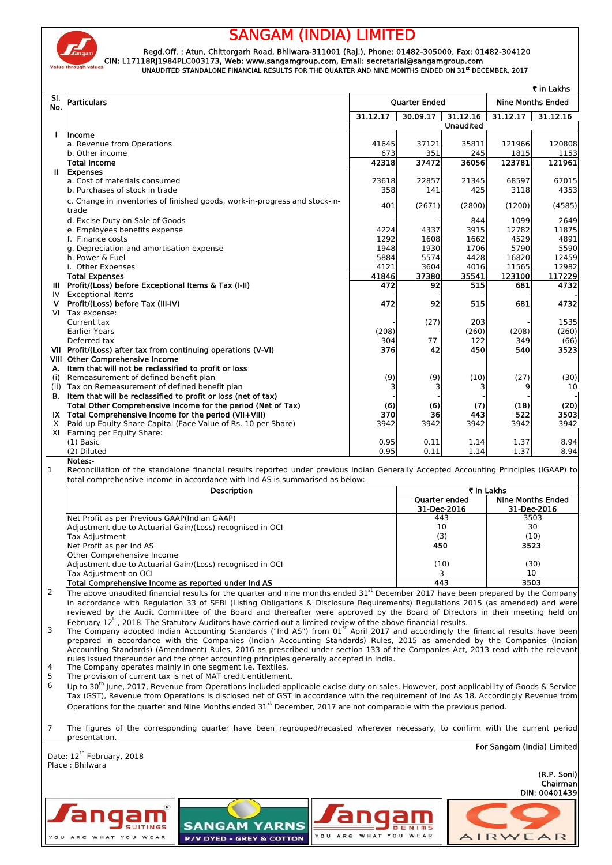

angam

YOU ARE WHAT YOU WEAR

## **SANGAM (INDIA) LIMITED**

 **CIN: L17118RJ1984PLC003173, Web: www.sangamgroup.com, Email: secretarial@sangamgroup.com Regd.Off. : Atun, Chittorgarh Road, Bhilwara-311001 (Raj.), Phone: 01482-305000, Fax: 01482-304120 UNAUDITED STANDALONE FINANCIAL RESULTS FOR THE QUARTER AND NINE MONTHS ENDED ON 31st DECEMBER, 2017**

| SI.<br><b>Nine Months Ended</b><br><b>Particulars</b><br><b>Quarter Ended</b><br>No.<br>31.12.17<br>30.09.17<br>31.12.16<br>31.12.17<br><b>Unaudited</b><br>Income<br>a. Revenue from Operations<br>41645<br>37121<br>35811<br>121966<br>673<br>1815<br>b. Other income<br>351<br>245<br>42318<br>37472<br>123781<br>36056<br><b>Total Income</b><br>Ш<br><b>Expenses</b><br>68597<br>a. Cost of materials consumed<br>23618<br>22857<br>21345<br>425<br>3118<br>b. Purchases of stock in trade<br>358<br>141<br>c. Change in inventories of finished goods, work-in-progress and stock-in-<br>401<br>(2671)<br>(2800)<br>(1200) | 31.12.16<br>120808         |
|----------------------------------------------------------------------------------------------------------------------------------------------------------------------------------------------------------------------------------------------------------------------------------------------------------------------------------------------------------------------------------------------------------------------------------------------------------------------------------------------------------------------------------------------------------------------------------------------------------------------------------|----------------------------|
|                                                                                                                                                                                                                                                                                                                                                                                                                                                                                                                                                                                                                                  |                            |
|                                                                                                                                                                                                                                                                                                                                                                                                                                                                                                                                                                                                                                  |                            |
|                                                                                                                                                                                                                                                                                                                                                                                                                                                                                                                                                                                                                                  |                            |
|                                                                                                                                                                                                                                                                                                                                                                                                                                                                                                                                                                                                                                  | 1153<br>121961             |
|                                                                                                                                                                                                                                                                                                                                                                                                                                                                                                                                                                                                                                  |                            |
|                                                                                                                                                                                                                                                                                                                                                                                                                                                                                                                                                                                                                                  | 67015                      |
|                                                                                                                                                                                                                                                                                                                                                                                                                                                                                                                                                                                                                                  | 4353                       |
| trade                                                                                                                                                                                                                                                                                                                                                                                                                                                                                                                                                                                                                            | (4585)                     |
| d. Excise Duty on Sale of Goods<br>844<br>1099                                                                                                                                                                                                                                                                                                                                                                                                                                                                                                                                                                                   | 2649                       |
| 3915<br>12782<br>e. Employees benefits expense<br>4224<br>4337                                                                                                                                                                                                                                                                                                                                                                                                                                                                                                                                                                   | 11875                      |
| f. Finance costs<br>1292<br>4529<br>1608<br>1662<br>1948<br>1930<br>1706<br>5790<br>g. Depreciation and amortisation expense                                                                                                                                                                                                                                                                                                                                                                                                                                                                                                     | 4891<br>5590               |
| h. Power & Fuel<br>5884<br>5574<br>4428<br>16820                                                                                                                                                                                                                                                                                                                                                                                                                                                                                                                                                                                 | 12459                      |
| 4121<br>3604<br>4016<br>11565<br>i. Other Expenses                                                                                                                                                                                                                                                                                                                                                                                                                                                                                                                                                                               | 12982                      |
| 41846<br>37380<br>123100<br><b>Total Expenses</b><br>35541                                                                                                                                                                                                                                                                                                                                                                                                                                                                                                                                                                       | 117229                     |
| Profit/(Loss) before Exceptional Items & Tax (I-II)<br>472<br>92<br>515<br>681<br>Ш<br><b>Exceptional Items</b><br>IV                                                                                                                                                                                                                                                                                                                                                                                                                                                                                                            | 4732                       |
| Profit/(Loss) before Tax (III-IV)<br>472<br>92<br>515<br>681<br>۷                                                                                                                                                                                                                                                                                                                                                                                                                                                                                                                                                                | 4732                       |
| VI<br>Tax expense:                                                                                                                                                                                                                                                                                                                                                                                                                                                                                                                                                                                                               |                            |
| Current tax<br>(27)<br>203                                                                                                                                                                                                                                                                                                                                                                                                                                                                                                                                                                                                       | 1535                       |
| (208)<br>(260)<br>(208)<br>Earlier Years<br>77<br>Deferred tax<br>304<br>122<br>349                                                                                                                                                                                                                                                                                                                                                                                                                                                                                                                                              | (260)<br>(66)              |
| Profit/(Loss) after tax from continuing operations (V-VI)<br>376<br>42<br>450<br>540<br>VII                                                                                                                                                                                                                                                                                                                                                                                                                                                                                                                                      | 3523                       |
| VIII Other Comprehensive Income                                                                                                                                                                                                                                                                                                                                                                                                                                                                                                                                                                                                  |                            |
| Item that will not be reclassified to profit or loss<br>А.<br>Remeasurement of defined benefit plan<br>(i)                                                                                                                                                                                                                                                                                                                                                                                                                                                                                                                       |                            |
| (9)<br>(9)<br>(10)<br>(27)<br>Tax on Remeasurement of defined benefit plan<br>(ii)<br>3<br>3<br>3                                                                                                                                                                                                                                                                                                                                                                                                                                                                                                                                | (30)<br>10                 |
| Item that will be reclassified to profit or loss (net of tax)                                                                                                                                                                                                                                                                                                                                                                                                                                                                                                                                                                    |                            |
| Total Other Comprehensive Income for the period (Net of Tax)<br>(6)<br>(6)<br>(7)<br>(18)                                                                                                                                                                                                                                                                                                                                                                                                                                                                                                                                        | (20)                       |
| Total Comprehensive Income for the period (VII+VIII)<br>370<br>522<br>36<br>443                                                                                                                                                                                                                                                                                                                                                                                                                                                                                                                                                  | 3503                       |
| Paid-up Equity Share Capital (Face Value of Rs. 10 per Share)<br>3942<br>3942<br>3942<br>3942<br>Earning per Equity Share:                                                                                                                                                                                                                                                                                                                                                                                                                                                                                                       | 3942                       |
| $(1)$ Basic<br>0.95<br>0.11<br>1.14<br>1.37                                                                                                                                                                                                                                                                                                                                                                                                                                                                                                                                                                                      | 8.94                       |
| (2) Diluted<br>1.37<br>0.95<br>0.11<br>1.14                                                                                                                                                                                                                                                                                                                                                                                                                                                                                                                                                                                      | 8.94                       |
| Notes:-<br>Reconciliation of the standalone financial results reported under previous Indian Generally Accepted Accounting Principles (IGAAP) to                                                                                                                                                                                                                                                                                                                                                                                                                                                                                 |                            |
| total comprehensive income in accordance with Ind AS is summarised as below:-<br>₹ In Lakhs<br>Description                                                                                                                                                                                                                                                                                                                                                                                                                                                                                                                       |                            |
| <b>Nine Months Ended</b><br><b>Ouarter ended</b>                                                                                                                                                                                                                                                                                                                                                                                                                                                                                                                                                                                 |                            |
| 31-Dec-2016<br>31-Dec-2016                                                                                                                                                                                                                                                                                                                                                                                                                                                                                                                                                                                                       |                            |
| Net Profit as per Previous GAAP(Indian GAAP)<br>443<br>3503                                                                                                                                                                                                                                                                                                                                                                                                                                                                                                                                                                      |                            |
| 30<br>10<br>Adjustment due to Actuarial Gain/(Loss) recognised in OCI<br>(3)<br>(10)<br>Tax Adjustment                                                                                                                                                                                                                                                                                                                                                                                                                                                                                                                           |                            |
| Net Profit as per Ind AS<br>450<br>3523                                                                                                                                                                                                                                                                                                                                                                                                                                                                                                                                                                                          |                            |
| Other Comprehensive Income                                                                                                                                                                                                                                                                                                                                                                                                                                                                                                                                                                                                       |                            |
| Adjustment due to Actuarial Gain/(Loss) recognised in OCI<br>(10)<br>(30)                                                                                                                                                                                                                                                                                                                                                                                                                                                                                                                                                        |                            |
| 10<br>Tax Adiustment on OCI<br>3<br>Total Comprehensive Income as reported under Ind AS<br>443<br>3503                                                                                                                                                                                                                                                                                                                                                                                                                                                                                                                           |                            |
| The above unaudited financial results for the quarter and nine months ended 31 <sup>st</sup> December 2017 have been prepared by the Company                                                                                                                                                                                                                                                                                                                                                                                                                                                                                     |                            |
| in accordance with Regulation 33 of SEBI (Listing Obligations & Disclosure Reguirements) Regulations 2015 (as amended) and were                                                                                                                                                                                                                                                                                                                                                                                                                                                                                                  |                            |
| reviewed by the Audit Committee of the Board and thereafter were approved by the Board of Directors in their meeting held on                                                                                                                                                                                                                                                                                                                                                                                                                                                                                                     |                            |
| February 12 <sup>th</sup> . 2018. The Statutory Auditors have carried out a limited review of the above financial results.<br>The Company adopted Indian Accounting Standards ("Ind AS") from 01 <sup>st</sup> April 2017 and accordingly the financial results have been                                                                                                                                                                                                                                                                                                                                                        |                            |
| prepared in accordance with the Companies (Indian Accounting Standards) Rules, 2015 as amended by the Companies (Indian                                                                                                                                                                                                                                                                                                                                                                                                                                                                                                          |                            |
| Accounting Standards) (Amendment) Rules, 2016 as prescribed under section 133 of the Companies Act, 2013 read with the relevant                                                                                                                                                                                                                                                                                                                                                                                                                                                                                                  |                            |
| rules issued thereunder and the other accounting principles generally accepted in India.<br>The Company operates mainly in one segment i.e. Textiles.                                                                                                                                                                                                                                                                                                                                                                                                                                                                            |                            |
| The provision of current tax is net of MAT credit entitlement.                                                                                                                                                                                                                                                                                                                                                                                                                                                                                                                                                                   |                            |
| Up to 30 <sup>th</sup> June, 2017, Revenue from Operations included applicable excise duty on sales. However, post applicability of Goods & Service                                                                                                                                                                                                                                                                                                                                                                                                                                                                              |                            |
| Tax (GST), Revenue from Operations is disclosed net of GST in accordance with the requirement of Ind As 18. Accordingly Revenue from                                                                                                                                                                                                                                                                                                                                                                                                                                                                                             |                            |
| Operations for the quarter and Nine Months ended 31 <sup>st</sup> December, 2017 are not comparable with the previous period.                                                                                                                                                                                                                                                                                                                                                                                                                                                                                                    |                            |
| The figures of the corresponding quarter have been regrouped/recasted wherever necessary, to confirm with the current period                                                                                                                                                                                                                                                                                                                                                                                                                                                                                                     |                            |
| presentation.                                                                                                                                                                                                                                                                                                                                                                                                                                                                                                                                                                                                                    | For Sangam (India) Limited |
|                                                                                                                                                                                                                                                                                                                                                                                                                                                                                                                                                                                                                                  |                            |
|                                                                                                                                                                                                                                                                                                                                                                                                                                                                                                                                                                                                                                  |                            |
|                                                                                                                                                                                                                                                                                                                                                                                                                                                                                                                                                                                                                                  |                            |
| Date: 12 <sup>th</sup> February, 2018<br>Place: Bhilwara                                                                                                                                                                                                                                                                                                                                                                                                                                                                                                                                                                         | (R.P. Soni)<br>Chairman    |